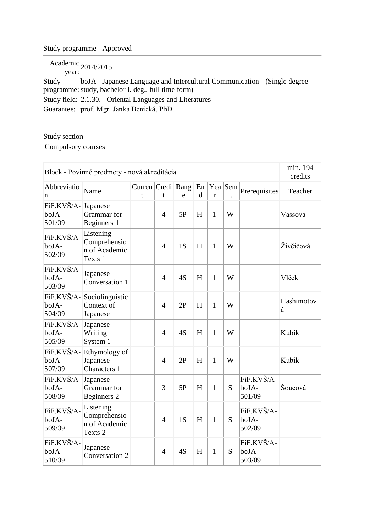## Study programme - Approved

Academic year: 2014/2015

Study programme: study, bachelor I. deg., full time form) boJA - Japanese Language and Intercultural Communication - (Single degree Study field: 2.1.30. - Oriental Languages and Literatures Guarantee: prof. Mgr. Janka Benická, PhD.

## Study section

Compulsory courses

| Block - Povinné predmety - nová akreditácia |                                                       |                                  |                |              |                   |              |         |                               |                 |  |  |
|---------------------------------------------|-------------------------------------------------------|----------------------------------|----------------|--------------|-------------------|--------------|---------|-------------------------------|-----------------|--|--|
| Abbreviatio<br>n                            | Name                                                  | Curren Credi Rang<br>$\mathbf t$ | t              | $\mathbf{e}$ | En<br>$\mathbf d$ | r            | Yea Sem | Prerequisites                 | Teacher         |  |  |
| FiF.KVŠ/A-Japanese<br>boJA-<br>501/09       | Grammar for<br>Beginners 1                            |                                  | $\overline{4}$ | 5P           | H                 | $\mathbf{1}$ | W       |                               | Vassová         |  |  |
| FiF.KVŠ/A-<br>boJA-<br>502/09               | Listening<br>Comprehensio<br>n of Academic<br>Texts 1 |                                  | $\overline{4}$ | 1S           | H                 | 1            | W       |                               | Živčičová       |  |  |
| FiF.KVŠ/A-<br>boJA-<br>503/09               | Japanese<br>Conversation 1                            |                                  | $\overline{4}$ | 4S           | H                 | $\mathbf{1}$ | W       |                               | Vlček           |  |  |
| FiF.KVŠ/A-<br>boJA-<br>504/09               | Sociolinguistic<br>Context of<br>Japanese             |                                  | $\overline{4}$ | 2P           | H                 | $\mathbf{1}$ | W       |                               | Hashimotov<br>á |  |  |
| FiF.KVŠ/A-<br>boJA-<br>505/09               | Japanese<br>Writing<br>System 1                       |                                  | $\overline{4}$ | 4S           | H                 | $\mathbf{1}$ | W       |                               | Kubík           |  |  |
| FiF.KVŠ/A-<br>boJA-<br>507/09               | Ethymology of<br>Japanese<br>Characters 1             |                                  | $\overline{4}$ | 2P           | H                 | $\mathbf{1}$ | W       |                               | Kubík           |  |  |
| FiF.KVŠ/A-<br>boJA-<br>508/09               | Japanese<br>Grammar for<br>Beginners 2                |                                  | 3              | 5P           | H                 | $\mathbf{1}$ | S       | FiF.KVŠ/A-<br>boJA-<br>501/09 | Šoucová         |  |  |
| FiF.KVŠ/A-<br>boJA-<br>509/09               | Listening<br>Comprehensio<br>n of Academic<br>Texts 2 |                                  | $\overline{4}$ | 1S           | H                 | $\mathbf{1}$ | S       | FiF.KVŠ/A-<br>boJA-<br>502/09 |                 |  |  |
| FiF.KVŠ/A-<br>boJA-<br>510/09               | Japanese<br>Conversation 2                            |                                  | $\overline{4}$ | 4S           | H                 | $\mathbf{1}$ | S       | FiF.KVŠ/A-<br>boJA-<br>503/09 |                 |  |  |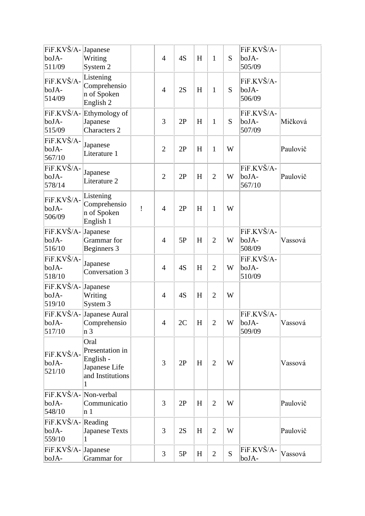| FiF.KVŠ/A-<br>boJA-<br>511/09            | Japanese<br>Writing<br>System 2                                                |   | $\overline{4}$ | 4S | H | $\mathbf{1}$   | S | FiF.KVŠ/A-<br>boJA-<br>505/09 |          |
|------------------------------------------|--------------------------------------------------------------------------------|---|----------------|----|---|----------------|---|-------------------------------|----------|
| FiF.KVŠ/A-<br>boJA-<br>514/09            | Listening<br>Comprehensio<br>n of Spoken<br>English 2                          |   | $\overline{4}$ | 2S | H | $\mathbf{1}$   | S | FiF.KVŠ/A-<br>boJA-<br>506/09 |          |
| FiF.KVŠ/A-<br>boJA-<br>515/09            | Ethymology of<br>Japanese<br><b>Characters 2</b>                               |   | 3              | 2P | H | $\mathbf{1}$   | S | FiF.KVŠ/A-<br>boJA-<br>507/09 | Mičková  |
| FiF.KVŠ/A-<br>boJA-<br>567/10            | Japanese<br>Literature 1                                                       |   | $\overline{2}$ | 2P | H | $\mathbf{1}$   | W |                               | Paulovič |
| FiF.KVŠ/A-<br>boJA-<br>578/14            | Japanese<br>Literature 2                                                       |   | $\overline{2}$ | 2P | H | $\overline{2}$ | W | FiF.KVŠ/A-<br>boJA-<br>567/10 | Paulovič |
| FiF.KVŠ/A-<br>boJA-<br>506/09            | Listening<br>Comprehensio<br>n of Spoken<br>English 1                          | Ţ | $\overline{4}$ | 2P | H | $\mathbf{1}$   | W |                               |          |
| FiF.KVŠ/A-<br>boJA-<br>516/10            | Japanese<br>Grammar for<br>Beginners 3                                         |   | $\overline{4}$ | 5P | H | $\overline{2}$ | W | FiF.KVŠ/A-<br>boJA-<br>508/09 | Vassová  |
| FiF.KVŠ/A-<br>boJA-<br>518/10            | Japanese<br>Conversation 3                                                     |   | $\overline{4}$ | 4S | H | $\overline{2}$ | W | FiF.KVŠ/A-<br>boJA-<br>510/09 |          |
| FiF.KVŠ/A-<br>boJA-<br>519/10            | Japanese<br>Writing<br>System 3                                                |   | $\overline{4}$ | 4S | H | $\overline{2}$ | W |                               |          |
| boJA-<br>517/10                          | FiF.KVŠ/A-Japanese Aural<br>Comprehensio<br>n 3                                |   | $\overline{4}$ | 2C | H | $\overline{2}$ | W | FiF.KVŠ/A-<br>boJA-<br>509/09 | Vassová  |
| FiF.KVŠ/A-<br>boJA-<br>521/10            | Oral<br>Presentation in<br>English -<br>Japanese Life<br>and Institutions<br>1 |   | 3              | 2P | H | $\overline{2}$ | W |                               | Vassová  |
| FiF.KVŠ/A- Non-verbal<br>boJA-<br>548/10 | Communicatio<br>n <sub>1</sub>                                                 |   | 3              | 2P | H | $\overline{2}$ | W |                               | Paulovič |
| FiF.KVŠ/A-Reading<br>boJA-<br>559/10     | <b>Japanese Texts</b><br>1                                                     |   | $\overline{3}$ | 2S | H | $\overline{2}$ | W |                               | Paulovič |
| FiF.KVŠ/A-Japanese<br>boJA-              | Grammar for                                                                    |   | 3              | 5P | H | $\overline{2}$ | S | FiF.KVŠ/A-<br>boJA-           | Vassová  |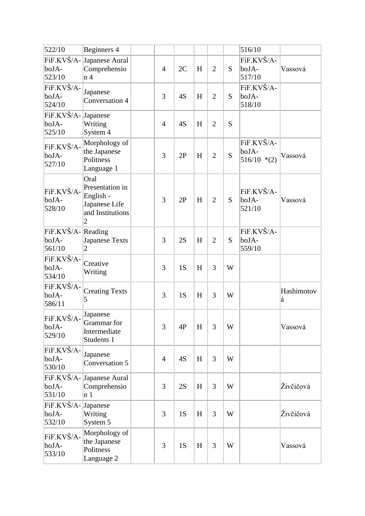| 522/10                               | Beginners 4                                                                    |                |    |   |                |   | 516/10                               |                 |
|--------------------------------------|--------------------------------------------------------------------------------|----------------|----|---|----------------|---|--------------------------------------|-----------------|
| FiF.KVŠ/A-<br>boJA-<br>523/10        | Japanese Aural<br>Comprehensio<br>n <sub>4</sub>                               | $\overline{4}$ | 2C | H | $\overline{2}$ | S | FiF.KVŠ/A-<br>boJA-<br>517/10        | Vassová         |
| FiF.KVŠ/A-<br>boJA-<br>524/10        | Japanese<br>Conversation 4                                                     | 3              | 4S | H | $\overline{2}$ | S | FiF.KVŠ/A-<br>boJA-<br>518/10        |                 |
| FiF.KVŠ/A-<br>boJA-<br>525/10        | Japanese<br>Writing<br>System 4                                                | $\overline{4}$ | 4S | H | $\overline{2}$ | S |                                      |                 |
| FiF.KVŠ/A-<br>boJA-<br>527/10        | Morphology of<br>the Japanese<br>Politness<br>Language 1                       | 3              | 2P | H | $\overline{2}$ | S | FiF.KVŠ/A-<br>boJA-<br>$516/10$ *(2) | Vassová         |
| FiF.KVŠ/A-<br>boJA-<br>528/10        | Oral<br>Presentation in<br>English -<br>Japanese Life<br>and Institutions<br>2 | 3              | 2P | H | $\overline{2}$ | S | FiF.KVŠ/A-<br>boJA-<br>521/10        | Vassová         |
| FiF.KVŠ/A-Reading<br>boJA-<br>561/10 | <b>Japanese Texts</b><br>2                                                     | 3              | 2S | H | $\overline{2}$ | S | FiF.KVŠ/A-<br>boJA-<br>559/10        |                 |
| FiF.KVŠ/A-<br>boJA-<br>534/10        | Creative<br>Writing                                                            | 3              | 1S | H | 3              | W |                                      |                 |
| FiF.KVŠ/A-<br>boJA-<br>586/11        | <b>Creating Texts</b><br>5                                                     | 3              | 1S | H | 3              | W |                                      | Hashimotov<br>á |
| FiF.KVŠ/A-<br>boJA-<br>529/10        | Japanese<br>Grammar for<br>Intermediate<br>Students 1                          | 3              | 4P | H | 3              | W |                                      | Vassová         |
| FiF.KVŠ/A-<br>boJA-<br>530/10        | Japanese<br>Conversation 5                                                     | $\overline{4}$ | 4S | H | 3              | W |                                      |                 |
| FiF.KVŠ/A-<br>boJA-<br>531/10        | Japanese Aural<br>Comprehensio<br>n 1                                          | 3              | 2S | H | 3              | W |                                      | Živčičová       |
| FiF.KVŠ/A-<br>boJA-<br>532/10        | Japanese<br>Writing<br>System 5                                                | 3              | 1S | H | 3              | W |                                      | Živčičová       |
| FiF.KVŠ/A-<br>boJA-<br>533/10        | Morphology of<br>the Japanese<br>Politness<br>Language 2                       | 3              | 1S | H | 3              | W |                                      | Vassová         |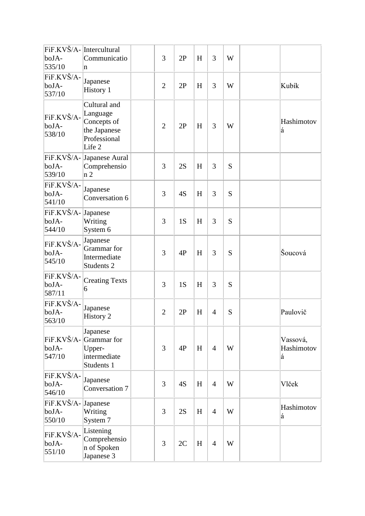| boJA-<br>535/10                       | FiF.KVŠ/A-Intercultural<br>Communicatio<br>n                                      | 3              | 2P | H | 3              | W |                             |
|---------------------------------------|-----------------------------------------------------------------------------------|----------------|----|---|----------------|---|-----------------------------|
| FiF.KVŠ/A-<br>boJA-<br>537/10         | Japanese<br>History 1                                                             | $\overline{2}$ | 2P | H | 3              | W | Kubík                       |
| FiF.KVŠ/A-<br>boJA-<br>538/10         | Cultural and<br>Language<br>Concepts of<br>the Japanese<br>Professional<br>Life 2 | $\overline{2}$ | 2P | H | 3              | W | Hashimotov<br>á             |
| boJA-<br>539/10                       | FiF.KVŠ/A- Japanese Aural<br>Comprehensio<br>n2                                   | 3              | 2S | H | 3              | S |                             |
| FiF.KVŠ/A-<br>boJA-<br>541/10         | Japanese<br>Conversation 6                                                        | 3              | 4S | H | 3              | S |                             |
| FiF.KVŠ/A-<br>boJA-<br>544/10         | Japanese<br>Writing<br>System 6                                                   | 3              | 1S | H | 3              | S |                             |
| FiF.KVŠ/A-<br>boJA-<br>545/10         | Japanese<br>Grammar for<br>Intermediate<br>Students <sub>2</sub>                  | 3              | 4P | H | 3              | S | Šoucová                     |
| FiF.KVŠ/A-<br>boJA-<br>587/11         | <b>Creating Texts</b><br>6                                                        | 3              | 1S | H | 3              | S |                             |
| FiF.KVŠ/A-<br>boJA-<br>563/10         | Japanese<br>History 2                                                             | $\overline{2}$ | 2P | H | $\overline{4}$ | S | Paulovič                    |
| FiF.KVŠ/A-<br>boJA-<br>547/10         | Japanese<br>Grammar for<br>Upper-<br>intermediate<br>Students 1                   | 3              | 4P | H | $\overline{4}$ | W | Vassová,<br>Hashimotov<br>á |
| FiF.KVŠ/A-<br>boJA-<br>546/10         | Japanese<br>Conversation 7                                                        | 3              | 4S | H | $\overline{4}$ | W | Vlček                       |
| FiF.KVŠ/A-Japanese<br>boJA-<br>550/10 | Writing<br>System 7                                                               | 3              | 2S | H | $\overline{4}$ | W | Hashimotov<br>á             |
| FiF.KVŠ/A-<br>boJA-<br>551/10         | Listening<br>Comprehensio<br>n of Spoken<br>Japanese 3                            | 3              | 2C | H | $\overline{4}$ | W |                             |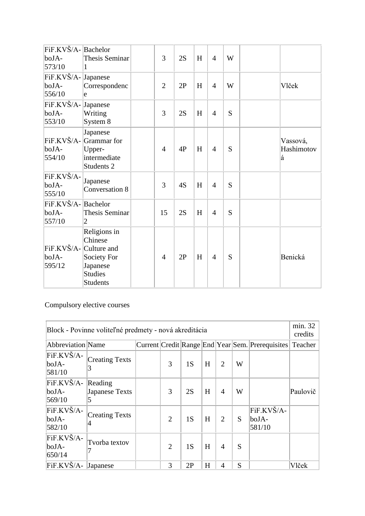| FiF.KVŠ/A-Bachelor<br>boJA-<br>573/10     | Thesis Seminar<br>1                                                                     | 3              | 2S | H | $\overline{4}$ | W |                             |
|-------------------------------------------|-----------------------------------------------------------------------------------------|----------------|----|---|----------------|---|-----------------------------|
| FiF.KVŠ/A-<br>boJA-<br>556/10             | Japanese<br>Correspondenc<br>e                                                          | $\overline{2}$ | 2P | H | $\overline{4}$ | W | Vlček                       |
| FiF.KVŠ/A-Japanese<br>boJA-<br>553/10     | Writing<br>System 8                                                                     | 3              | 2S | H | $\overline{4}$ | S |                             |
| boJA-<br>554/10                           | Japanese<br>FiF.KVŠ/A- Grammar for<br>Upper-<br>intermediate<br>Students 2              | $\overline{4}$ | 4P | H | $\overline{4}$ | S | Vassová,<br>Hashimotov<br>á |
| FiF.KVŠ/A-<br>boJA-<br>555/10             | Japanese<br>Conversation 8                                                              | 3              | 4S | H | $\overline{4}$ | S |                             |
| FiF.KVŠ/A-Bachelor<br>boJA-<br>557/10     | Thesis Seminar<br>$ 2\rangle$                                                           | 15             | 2S | H | $\overline{4}$ | S |                             |
| FiF.KVŠ/A- Culture and<br>boJA-<br>595/12 | Religions in<br>Chinese<br>Society For<br>Japanese<br><b>Studies</b><br><b>Students</b> | $\overline{4}$ | 2P | H | $\overline{4}$ | S | Benická                     |

Compulsory elective courses

| Block - Povinne voliteľné predmety - nová akreditácia |                            |  |                |    |   |                |   |                                                          |          |  |  |
|-------------------------------------------------------|----------------------------|--|----------------|----|---|----------------|---|----------------------------------------------------------|----------|--|--|
| <b>Abbreviation Name</b>                              |                            |  |                |    |   |                |   | Current Credit Range End Year Sem. Prerequisites Teacher |          |  |  |
| FiF.KVŠ/A-<br>boJA-<br>581/10                         | <b>Creating Texts</b><br>3 |  | 3              | 1S | H | $\overline{2}$ | W |                                                          |          |  |  |
| FiF.KVŠ/A-<br>boJA-<br>569/10                         | Reading<br>Japanese Texts  |  | 3              | 2S | H | 4              | W |                                                          | Paulovič |  |  |
| FiF.KVŠ/A-<br>boJA-<br>582/10                         | <b>Creating Texts</b>      |  | 2              | 1S | H | $\overline{2}$ | S | FiF.KVŠ/A-<br>$b$ oJA-<br>581/10                         |          |  |  |
| FiF.KVŠ/A-<br>boJA-<br>650/14                         | Tvorba textov              |  | $\overline{2}$ | 1S | H | $\overline{4}$ | S |                                                          |          |  |  |
| FiF.KVŠ/A-                                            | <b>Japanese</b>            |  | 3              | 2P | H | 4              | S |                                                          | Vlček    |  |  |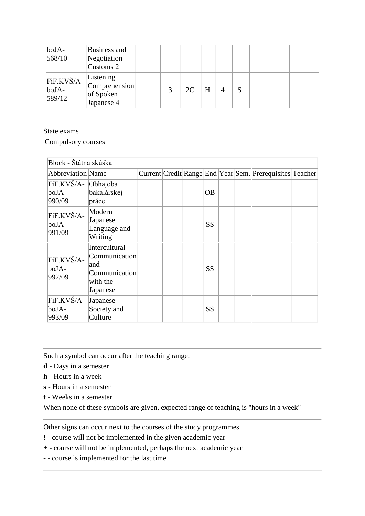| $b$ oJA-<br>568/10                               | Business and<br>Negotiation<br>$\sqrt{\text{Customs 2}}$ |  |    |   |   |  |  |
|--------------------------------------------------|----------------------------------------------------------|--|----|---|---|--|--|
| $\overline{F}$ iF.KVŠ/A- $\ $<br>boJA-<br>589/12 | Listening<br>Comprehension<br>of Spoken<br>Japanese 4    |  | 2C | H | 4 |  |  |

State exams

Compulsory courses

| Block - Štátna skúška                  |                                                                                       |  |           |  |                                                          |  |
|----------------------------------------|---------------------------------------------------------------------------------------|--|-----------|--|----------------------------------------------------------|--|
| <b>Abbreviation</b> Name               |                                                                                       |  |           |  | Current Credit Range End Year Sem. Prerequisites Teacher |  |
| FiF.KVŠ/A- Obhajoba<br>boJA-<br>990/09 | bakalárskej<br>práce                                                                  |  | <b>OB</b> |  |                                                          |  |
| FiF.KVŠ/A-<br>boJA-<br>991/09          | Modern<br>Japanese<br>Language and<br>Writing                                         |  | <b>SS</b> |  |                                                          |  |
| FiF.KVŠ/A-<br>boJA-<br>992/09          | <b>Intercultural</b><br>Communication<br>and<br>Communication<br>with the<br>Japanese |  | <b>SS</b> |  |                                                          |  |
| FiF.KVŠ/A-<br>boJA-<br>993/09          | Japanese<br>Society and<br>Culture                                                    |  | <b>SS</b> |  |                                                          |  |

Such a symbol can occur after the teaching range:

**d** - Days in a semester

**h** - Hours in a week

**s** - Hours in a semester

**t** - Weeks in a semester

When none of these symbols are given, expected range of teaching is "hours in a week"

Other signs can occur next to the courses of the study programmes

**!** - course will not be implemented in the given academic year

**+** - course will not be implemented, perhaps the next academic year

**-** - course is implemented for the last time